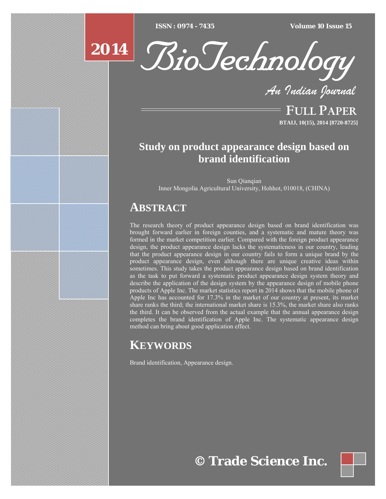$ISSN : 0974 - 7435$ 

*ISSN : 0974 - 7435 Volume 10 Issue 15*



*An Indian Journal*

FULL PAPER **BTAIJ, 10(15), 2014 [8720-8725]**

# **Study on product appearance design based on brand identification**

Sun Qianqian Inner Mongolia Agricultural University, Hohhot, 010018, (CHINA)

# **ABSTRACT**

The research theory of product appearance design based on brand identification was brought forward earlier in foreign counties, and a systematic and mature theory was formed in the market competition earlier. Compared with the foreign product appearance design, the product appearance design lacks the systematicness in our country, leading that the product appearance design in our country fails to form a unique brand by the product appearance design, even although there are unique creative ideas within sometimes. This study takes the product appearance design based on brand identification as the task to put forward a systematic product appearance design system theory and describe the application of the design system by the appearance design of mobile phone products of Apple Inc. The market statistics report in 2014 shows that the mobile phone of Apple Inc has accounted for 17.3% in the market of our country at present, its market share ranks the third; the international market share is 15.3%, the market share also ranks the third. It can be observed from the actual example that the annual appearance design completes the brand identification of Apple Inc. The systematic appearance design method can bring about good application effect.

# **KEYWORDS**

Brand identification, Appearance design.

**© Trade Science Inc.**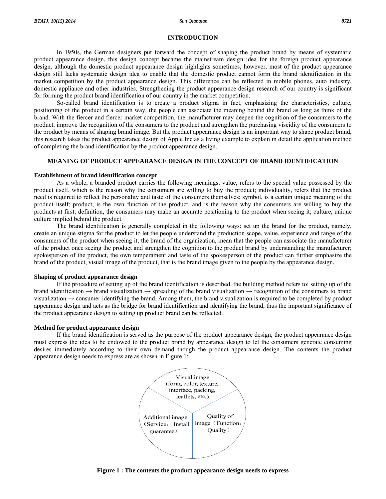#### **INTRODUCTION**

 In 1950s, the German designers put forward the concept of shaping the product brand by means of systematic product appearance design, this design concept became the mainstream design idea for the foreign product appearance design, although the domestic product appearance design highlights sometimes, however, most of the product appearance design still lacks systematic design idea to enable that the domestic product cannot form the brand identification in the market competition by the product appearance design. This difference can be reflected in mobile phones, auto industry, domestic appliance and other industries. Strengthening the product appearance design research of our country is significant for forming the product brand identification of our country in the market competition.

 So-called brand identification is to create a product stigma in fact, emphasizing the characteristics, culture, positioning of the product in a certain way, the people can associate the meaning behind the brand as long as think of the brand. With the fiercer and fiercer market competition, the manufacturer may deepen the cognition of the consumers to the product, improve the recognition of the consumers to the product and strengthen the purchasing viscidity of the consumers to the product by means of shaping brand image. But the product appearance design is an important way to shape product brand, this research takes the product appearance design of Apple Inc as a living example to explain in detail the application method of completing the brand identification by the product appearance design.

# **MEANING OF PRODUCT APPEARANCE DESIGN IN THE CONCEPT OF BRAND IDENTIFICATION**

# **Establishment of brand identification concept**

 As a whole, a branded product carries the following meanings: value, refers to the special value possessed by the product itself, which is the reason why the consumers are willing to buy the product; individuality, refers that the product need is required to reflect the personality and taste of the consumers themselves; symbol, is a certain unique meaning of the product itself; product, is the own function of the product, and is the reason why the consumers are willing to buy the products at first; definition, the consumers may make an accurate positioning to the product when seeing it; culture, unique culture implied behind the product.

 The brand identification is generally completed in the following ways: set up the brand for the product, namely, create an unique stigma for the product to let the people understand the production scope, value, experience and range of the consumers of the product when seeing it; the brand of the organization, mean that the people can associate the manufacturer of the product once seeing the product and strengthen the cognition to the product brand by understanding the manufacturer; spokesperson of the product, the own temperament and taste of the spokesperson of the product can further emphasize the brand of the product, visual image of the product, that is the brand image given to the people by the appearance design.

# **Shaping of product appearance design**

 If the procedure of setting up of the brand identification is described, the building method refers to: setting up of the brand identification  $\rightarrow$  brand visualization  $\rightarrow$  spreading of the brand visualization  $\rightarrow$  recognition of the consumers to brand visualization  $\rightarrow$  consumer identifying the brand. Among them, the brand visualization is required to be completed by product appearance design and acts as the bridge for brand identification and identifying the brand, thus the important significance of the product appearance design to setting up product brand can be reflected.

# **Method for product appearance design**

 If the brand identification is served as the purpose of the product appearance design, the product appearance design must express the idea to be endowed to the product brand by appearance design to let the consumers generate consuming desires immediately according to their own demand though the product appearance design. The contents the product appearance design needs to express are as shown in Figure 1:



**Figure 1 : The contents the product appearance design needs to express**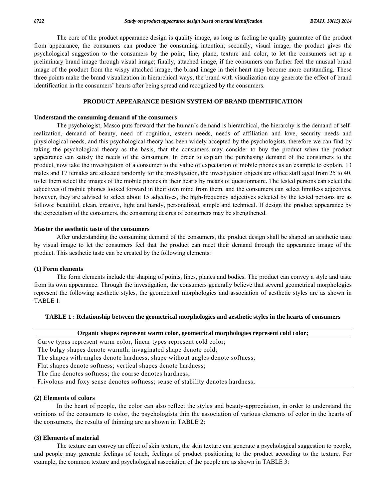The core of the product appearance design is quality image, as long as feeling he quality guarantee of the product from appearance, the consumers can produce the consuming intention; secondly, visual image, the product gives the psychological suggestion to the consumers by the point, line, plane, texture and color, to let the consumers set up a preliminary brand image through visual image; finally, attached image, if the consumers can further feel the unusual brand image of the product from the wispy attached image, the brand image in their heart may become more outstanding. These three points make the brand visualization in hierarchical ways, the brand with visualization may generate the effect of brand identification in the consumers' hearts after being spread and recognized by the consumers.

# **PRODUCT APPEARANCE DESIGN SYSTEM OF BRAND IDENTIFICATION**

#### **Understand the consuming demand of the consumers**

 The psychologist, Masco puts forward that the human's demand is hierarchical, the hierarchy is the demand of selfrealization, demand of beauty, need of cognition, esteem needs, needs of affiliation and love, security needs and physiological needs, and this psychological theory has been widely accepted by the psychologists, therefore we can find by taking the psychological theory as the basis, that the consumers may consider to buy the product when the product appearance can satisfy the needs of the consumers. In order to explain the purchasing demand of the consumers to the product, now take the investigation of a consumer to the value of expectation of mobile phones as an example to explain. 13 males and 17 females are selected randomly for the investigation, the investigation objects are office staff aged from 25 to 40, to let them select the images of the mobile phones in their hearts by means of questionnaire. The tested persons can select the adjectives of mobile phones looked forward in their own mind from them, and the consumers can select limitless adjectives, however, they are advised to select about 15 adjectives, the high-frequency adjectives selected by the tested persons are as follows: beautiful, clean, creative, light and handy, personalized, simple and technical. If design the product appearance by the expectation of the consumers, the consuming desires of consumers may be strengthened.

### **Master the aesthetic taste of the consumers**

 After understanding the consuming demand of the consumers, the product design shall be shaped an aesthetic taste by visual image to let the consumers feel that the product can meet their demand through the appearance image of the product. This aesthetic taste can be created by the following elements:

#### **(1) Form elements**

 The form elements include the shaping of points, lines, planes and bodies. The product can convey a style and taste from its own appearance. Through the investigation, the consumers generally believe that several geometrical morphologies represent the following aesthetic styles, the geometrical morphologies and association of aesthetic styles are as shown in TABLE 1:

### **TABLE 1 : Relationship between the geometrical morphologies and aesthetic styles in the hearts of consumers**

| Organic shapes represent warm color, geometrical morphologies represent cold color; |  |
|-------------------------------------------------------------------------------------|--|
|-------------------------------------------------------------------------------------|--|

Curve types represent warm color, linear types represent cold color;

The bulgy shapes denote warmth, invaginated shape denote cold;

The shapes with angles denote hardness, shape without angles denote softness;

Flat shapes denote softness; vertical shapes denote hardness;

The fine denotes softness; the coarse denotes hardness;

Frivolous and foxy sense denotes softness; sense of stability denotes hardness;

# **(2) Elements of colors**

 In the heart of people, the color can also reflect the styles and beauty-appreciation, in order to understand the opinions of the consumers to color, the psychologists thin the association of various elements of color in the hearts of the consumers, the results of thinning are as shown in TABLE 2:

# **(3) Elements of material**

 The texture can convey an effect of skin texture, the skin texture can generate a psychological suggestion to people, and people may generate feelings of touch, feelings of product positioning to the product according to the texture. For example, the common texture and psychological association of the people are as shown in TABLE 3: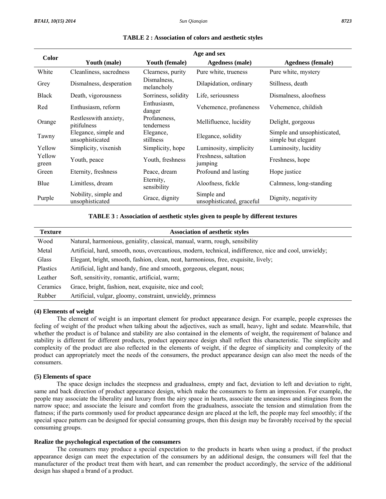| <b>Color</b>    | Age and sex                             |                            |                                         |                                                   |  |
|-----------------|-----------------------------------------|----------------------------|-----------------------------------------|---------------------------------------------------|--|
|                 | Youth (male)                            | Youth (female)             | <b>Agedness</b> (male)                  | <b>Agedness</b> (female)                          |  |
| White           | Cleanliness, sacredness                 | Clearness, purity          | Pure white, trueness                    | Pure white, mystery                               |  |
| Grey            | Dismalness, desperation                 | Dismalness,<br>melancholy  | Dilapidation, ordinary                  | Stillness, death                                  |  |
| <b>Black</b>    | Death, vigorousness                     | Sorriness, solidity        | Life, seriousness                       | Dismalness, aloofness                             |  |
| Red             | Enthusiasm, reform                      | Enthusiasm,<br>danger      | Vehemence, profaneness                  | Vehemence, childish                               |  |
| Orange          | Restlesswith anxiety,<br>pitifulness    | Profaneness,<br>tenderness | Mellifluence, lucidity                  | Delight, gorgeous                                 |  |
| Tawny           | Elegance, simple and<br>unsophisticated | Elegance,<br>stillness     | Elegance, solidity                      | Simple and unsophisticated,<br>simple but elegant |  |
| Yellow          | Simplicity, vixenish                    | Simplicity, hope           | Luminosity, simplicity                  | Luminosity, lucidity                              |  |
| Yellow<br>green | Youth, peace                            | Youth, freshness           | Freshness, saltation<br>jumping         | Freshness, hope                                   |  |
| Green           | Eternity, freshness                     | Peace, dream               | Profound and lasting                    | Hope justice                                      |  |
| Blue            | Limitless, dream                        | Eternity,<br>sensibility   | Aloofness, fickle                       | Calmness, long-standing                           |  |
| Purple          | Nobility, simple and<br>unsophisticated | Grace, dignity             | Simple and<br>unsophisticated, graceful | Dignity, negativity                               |  |

#### **TABLE 2 : Association of colors and aesthetic styles**

#### **TABLE 3 : Association of aesthetic styles given to people by different textures**

| <b>Texture</b> | <b>Association of aesthetic styles</b>                                                                  |
|----------------|---------------------------------------------------------------------------------------------------------|
| Wood           | Natural, harmonious, geniality, classical, manual, warm, rough, sensibility                             |
| Metal          | Artificial, hard, smooth, nous, overcautious, modern, technical, indifference, nice and cool, unwieldy; |
| Glass          | Elegant, bright, smooth, fashion, clean, neat, harmonious, free, exquisite, lively;                     |
| Plastics       | Artificial, light and handy, fine and smooth, gorgeous, elegant, nous;                                  |
| Leather        | Soft, sensitivity, romantic, artificial, warm;                                                          |
| Ceramics       | Grace, bright, fashion, neat, exquisite, nice and cool;                                                 |
| Rubber         | Artificial, vulgar, gloomy, constraint, unwieldy, primness                                              |

# **(4) Elements of weight**

 The element of weight is an important element for product appearance design. For example, people expresses the feeling of weight of the product when talking about the adjectives, such as small, heavy, light and sedate. Meanwhile, that whether the product is of balance and stability are also contained in the elements of weight, the requirement of balance and stability is different for different products, product appearance design shall reflect this characteristic. The simplicity and complexity of the product are also reflected in the elements of weight, if the degree of simplicity and complexity of the product can appropriately meet the needs of the consumers, the product appearance design can also meet the needs of the consumers.

#### **(5) Elements of space**

 The space design includes the steepness and gradualness, empty and fact, deviation to left and deviation to right, same and back direction of product appearance design, which make the consumers to form an impression. For example, the people may associate the liberality and luxury from the airy space in hearts, associate the uneasiness and stinginess from the narrow space; and associate the leisure and comfort from the gradualness, associate the tension and stimulation from the flatness; if the parts commonly used for product appearance design are placed at the left, the people may feel smoothly; if the special space pattern can be designed for special consuming groups, then this design may be favorably received by the special consuming groups.

#### **Realize the psychological expectation of the consumers**

 The consumers may produce a special expectation to the products in hearts when using a product, if the product appearance design can meet the expectation of the consumers by an additional design, the consumers will feel that the manufacturer of the product treat them with heart, and can remember the product accordingly, the service of the additional design has shaped a brand of a product.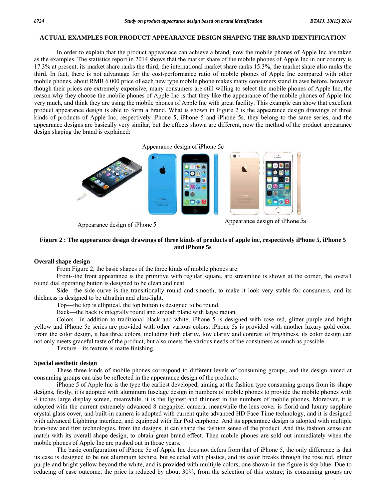# **ACTUAL EXAMPLES FOR PRODUCT APPEARANCE DESIGN SHAPING THE BRAND IDENTIFICATION**

 In order to explain that the product appearance can achieve a brand, now the mobile phones of Apple Inc are taken as the examples. The statistics report in 2014 shows that the market share of the mobile phones of Apple Inc in our country is 17.3% at present, its market share ranks the third; the international market share ranks 15.3%, the market share also ranks the third. In fact, there is not advantage for the cost-performance ratio of mobile phones of Apple Inc compared with other mobile phones, about RMB 6 000 price of each new type mobile phone makes many consumers stand in awe before, however though their prices are extremely expensive, many consumers are still willing to select the mobile phones of Apple Inc, the reason why they choose the mobile phones of Apple Inc is that they like the appearance of the mobile phones of Apple Inc very much, and think they are using the mobile phones of Apple Inc with great facility. This example can show that excellent product appearance design is able to form a brand. What is shown in Figure 2 is the appearance design drawings of three kinds of products of Apple Inc, respectively iPhone 5, iPhone 5 and iPhone 5s, they belong to the same series, and the appearance designs are basically very similar, but the effects shown are different, now the method of the product appearance design shaping the brand is explained:



Appearance design of iPhone 5

Appearance design of iPhone 5s

# **Figure 2 : The appearance design drawings of three kinds of products of apple inc, respectively iPhone 5, iPhone 5 and iPhone 5s**

#### **Overall shape design**

From Figure 2, the basic shapes of the three kinds of mobile phones are:

 Front--the front appearance is the primitive with regular square, arc streamline is shown at the corner, the overall round dial operating button is designed to be clean and neat.

 Side—the side curve is the transitionally round and smooth, to make it look very stable for consumers, and its thickness is designed to be ultrathin and ultra-light.

Top—the top is elliptical, the top button is designed to be round.

Back—the back is integrally round and smooth plane with large radian.

 Colors—in addition to traditional black and white, iPhone 5 is designed with rose red, glitter purple and bright yellow and iPhone 5c series are provided with other various colors, iPhone 5s is provided with another luxury gold color. From the color design, it has three colors, including high clarity, low clarity and contrast of brightness, its color design can not only meets graceful taste of the product, but also meets the various needs of the consumers as much as possible.

Texture—its texture is matte finishing.

# **Special aesthetic design**

 These three kinds of mobile phones correspond to different levels of consuming groups, and the design aimed at consuming groups can also be reflected in the appearance design of the products.

 iPhone 5 of Apple Inc is the type the earliest developed, aiming at the fashion type consuming groups from its shape designs, firstly, it is adopted with aluminum fuselage design in numbers of mobile phones to provide the mobile phones with 4 inches large display screen, meanwhile, it is the lightest and thinnest in the numbers of mobile phones. Moreover, it is adopted with the current extremely advanced 8 megapixel camera, meanwhile the lens cover is florid and luxury sapphire crystal glass cover, and built-in camera is adopted with current quite advanced HD Face Time technology, and it is designed with advanced Lightning interface, and equipped with Ear Pod earphone. And its appearance design is adopted with multiple bran-new and first technologies, from the designs, it can shape the fashion sense of the product. And this fashion sense can match with its overall shape design, to obtain great brand effect. Then mobile phones are sold out immediately when the mobile phones of Apple Inc are pushed out in those years.

 The basic configuration of iPhone 5c of Apple Inc does not defers from that of iPhone 5, the only difference is that its case is designed to be not aluminum texture, but selected with plastics, and its color breaks through the rose red, glitter purple and bright yellow beyond the white, and is provided with multiple colors, one shown in the figure is sky blue. Due to reducing of case outcome, the price is reduced by about 30%, from the selection of this texture; its consuming groups are